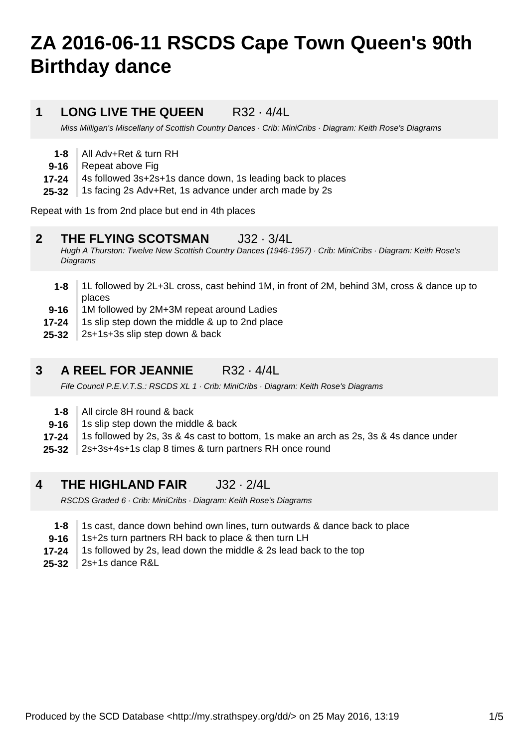# **ZA 2016-06-11 RSCDS Cape Town Queen's 90th Birthday dance**

#### **1 LONG LIVE THE QUEEN** R32 · 4/4L

Miss Milligan's Miscellany of Scottish Country Dances · Crib: MiniCribs · Diagram: Keith Rose's Diagrams

- **1-8** All Adv+Ret & turn RH
- **9-16** Repeat above Fig
- **17-24** 4s followed 3s+2s+1s dance down, 1s leading back to places
- **25-32** 1s facing 2s Adv+Ret, 1s advance under arch made by 2s

Repeat with 1s from 2nd place but end in 4th places

#### **2 THE FLYING SCOTSMAN** J32 · 3/4L

Hugh A Thurston: Twelve New Scottish Country Dances (1946-1957) · Crib: MiniCribs · Diagram: Keith Rose's **Diagrams** 

- **1-8** 1L followed by 2L+3L cross, cast behind 1M, in front of 2M, behind 3M, cross & dance up to places
- **9-16** 1M followed by 2M+3M repeat around Ladies
- **17-24** 1s slip step down the middle & up to 2nd place
- **25-32** 2s+1s+3s slip step down & back

#### **3 A REEL FOR JEANNIE** R32 · 4/4L

Fife Council P.E.V.T.S.: RSCDS XL 1 · Crib: MiniCribs · Diagram: Keith Rose's Diagrams

- **1-8** All circle 8H round & back
- **9-16** 1s slip step down the middle & back
- **17-24** 1s followed by 2s, 3s & 4s cast to bottom, 1s make an arch as 2s, 3s & 4s dance under
- **25-32** 2s+3s+4s+1s clap 8 times & turn partners RH once round

#### **4 THE HIGHLAND FAIR** J32 · 2/4L

RSCDS Graded 6 · Crib: MiniCribs · Diagram: Keith Rose's Diagrams

- **1-8** 1s cast, dance down behind own lines, turn outwards & dance back to place
- **9-16** 1s+2s turn partners RH back to place & then turn LH
- **17-24** 1s followed by 2s, lead down the middle & 2s lead back to the top
- **25-32** 2s+1s dance R&L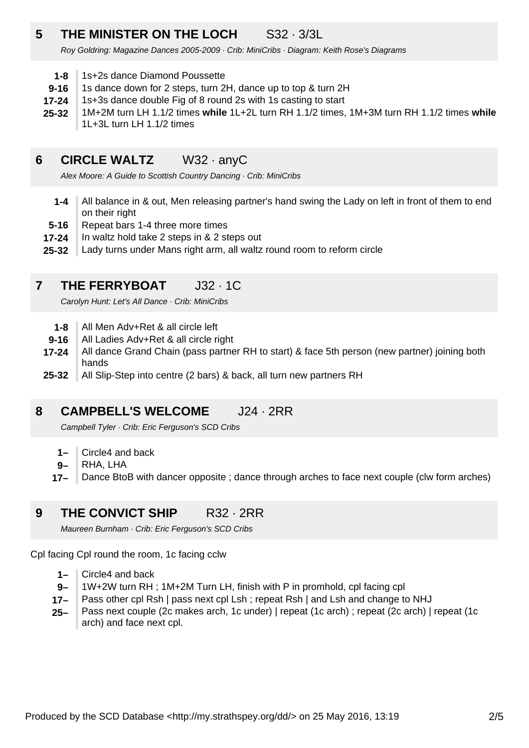### **5 THE MINISTER ON THE LOCH** S32 · 3/3L

Roy Goldring: Magazine Dances 2005-2009 · Crib: MiniCribs · Diagram: Keith Rose's Diagrams

- **1-8** 1s+2s dance Diamond Poussette
- **9-16** 1s dance down for 2 steps, turn 2H, dance up to top & turn 2H
- **17-24** 1s+3s dance double Fig of 8 round 2s with 1s casting to start
- **25-32** 1M+2M turn LH 1.1/2 times **while** 1L+2L turn RH 1.1/2 times, 1M+3M turn RH 1.1/2 times **while** 1L+3L turn LH 1.1/2 times

#### **6 CIRCLE WALTZ** W32 · anyC

Alex Moore: A Guide to Scottish Country Dancing · Crib: MiniCribs

- **1-4** All balance in & out, Men releasing partner's hand swing the Lady on left in front of them to end on their right
- **5-16** Repeat bars 1-4 three more times
- **17-24** In waltz hold take 2 steps in & 2 steps out
- **25-32** Lady turns under Mans right arm, all waltz round room to reform circle

#### **7 THE FERRYBOAT** J32 · 1C

Carolyn Hunt: Let's All Dance · Crib: MiniCribs

- **1-8** All Men Adv+Ret & all circle left
- **9-16** All Ladies Adv+Ret & all circle right
- **17-24** All dance Grand Chain (pass partner RH to start) & face 5th person (new partner) joining both hands
- **25-32** All Slip-Step into centre (2 bars) & back, all turn new partners RH

#### **8 CAMPBELL'S WELCOME** J24 · 2RR

Campbell Tyler · Crib: Eric Ferguson's SCD Cribs

- **1–** Circle4 and back
- **9–** RHA, LHA
- **17–** Dance BtoB with dancer opposite ; dance through arches to face next couple (clw form arches)

#### **9 THE CONVICT SHIP** R32 · 2RR

Maureen Burnham · Crib: Eric Ferguson's SCD Cribs

Cpl facing Cpl round the room, 1c facing cclw

- **1–** Circle4 and back
- **9–** 1W+2W turn RH ; 1M+2M Turn LH, finish with P in promhold, cpl facing cpl
- **17–** Pass other cpl Rsh | pass next cpl Lsh; repeat Rsh | and Lsh and change to NHJ
- **25–** Pass next couple (2c makes arch, 1c under) | repeat (1c arch) ; repeat (2c arch) | repeat (1c arch) and face next cpl.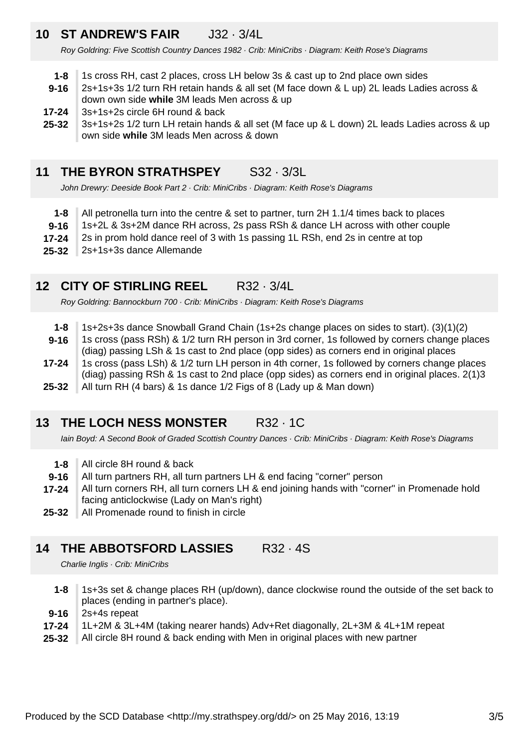### **10 ST ANDREW'S FAIR** J32 · 3/4L

Roy Goldring: Five Scottish Country Dances 1982 · Crib: MiniCribs · Diagram: Keith Rose's Diagrams

- **1-8** 1s cross RH, cast 2 places, cross LH below 3s & cast up to 2nd place own sides
- **9-16** 2s+1s+3s 1/2 turn RH retain hands & all set (M face down & L up) 2L leads Ladies across & down own side **while** 3M leads Men across & up
- **17-24** 3s+1s+2s circle 6H round & back
- **25-32** 3s+1s+2s 1/2 turn LH retain hands & all set (M face up & L down) 2L leads Ladies across & up own side **while** 3M leads Men across & down

#### **11 THE BYRON STRATHSPEY** S32 · 3/3L

John Drewry: Deeside Book Part 2 · Crib: MiniCribs · Diagram: Keith Rose's Diagrams

- **1-8** All petronella turn into the centre & set to partner, turn 2H 1.1/4 times back to places
- **9-16** 1s+2L & 3s+2M dance RH across, 2s pass RSh & dance LH across with other couple
- **17-24** 2s in prom hold dance reel of 3 with 1s passing 1L RSh, end 2s in centre at top
- **25-32** 2s+1s+3s dance Allemande

### **12 CITY OF STIRLING REEL** R32 · 3/4L

Roy Goldring: Bannockburn 700 · Crib: MiniCribs · Diagram: Keith Rose's Diagrams

- **1-8** 1s+2s+3s dance Snowball Grand Chain (1s+2s change places on sides to start). (3)(1)(2)
- **9-16** 1s cross (pass RSh) & 1/2 turn RH person in 3rd corner, 1s followed by corners change places (diag) passing LSh & 1s cast to 2nd place (opp sides) as corners end in original places
- **17-24** 1s cross (pass LSh) & 1/2 turn LH person in 4th corner, 1s followed by corners change places (diag) passing RSh & 1s cast to 2nd place (opp sides) as corners end in original places. 2(1)3
- **25-32** All turn RH (4 bars) & 1s dance 1/2 Figs of 8 (Lady up & Man down)

#### **13 THE LOCH NESS MONSTER** R32 · 1C

Iain Boyd: A Second Book of Graded Scottish Country Dances · Crib: MiniCribs · Diagram: Keith Rose's Diagrams

- **1-8** All circle 8H round & back
- **9-16** All turn partners RH, all turn partners LH & end facing "corner" person
- **17-24** All turn corners RH, all turn corners LH & end joining hands with "corner" in Promenade hold facing anticlockwise (Lady on Man's right)
- **25-32** All Promenade round to finish in circle

#### **14 THE ABBOTSFORD LASSIES** R32 · 4S

Charlie Inglis · Crib: MiniCribs

- **1-8** 1s+3s set & change places RH (up/down), dance clockwise round the outside of the set back to places (ending in partner's place).
- **9-16** 2s+4s repeat
- **17-24** 1L+2M & 3L+4M (taking nearer hands) Adv+Ret diagonally, 2L+3M & 4L+1M repeat
- **25-32** All circle 8H round & back ending with Men in original places with new partner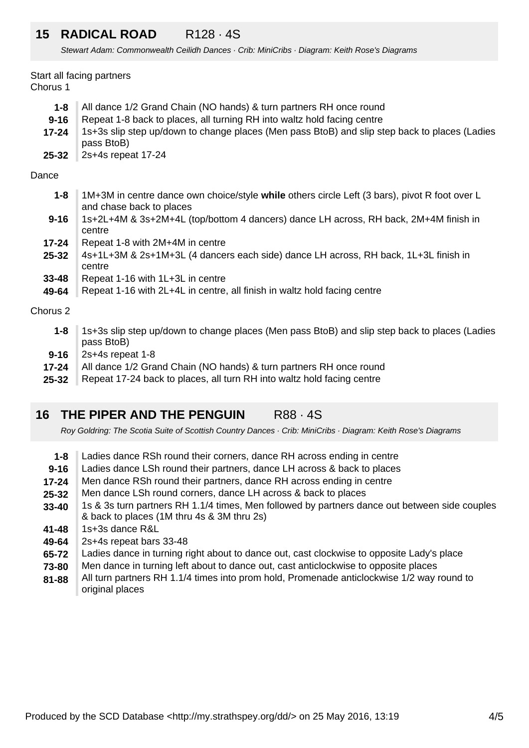### **15 RADICAL ROAD** R128 · 4S

Stewart Adam: Commonwealth Ceilidh Dances · Crib: MiniCribs · Diagram: Keith Rose's Diagrams

Start all facing partners Chorus 1

| 1-8      | All dance 1/2 Grand Chain (NO hands) & turn partners RH once round                                          |
|----------|-------------------------------------------------------------------------------------------------------------|
| $9 - 16$ | Repeat 1-8 back to places, all turning RH into waltz hold facing centre                                     |
| 17-24    | 1s+3s slip step up/down to change places (Men pass BtoB) and slip step back to places (Ladies<br>pass BtoB) |
|          |                                                                                                             |

**25-32** 2s+4s repeat 17-24

### Dance

- **1-8** 1M+3M in centre dance own choice/style **while** others circle Left (3 bars), pivot R foot over L and chase back to places
- **9-16** 1s+2L+4M & 3s+2M+4L (top/bottom 4 dancers) dance LH across, RH back, 2M+4M finish in centre
- **17-24** Repeat 1-8 with 2M+4M in centre
- **25-32** 4s+1L+3M & 2s+1M+3L (4 dancers each side) dance LH across, RH back, 1L+3L finish in centre
- **33-48** Repeat 1-16 with 1L+3L in centre
- **49-64** Repeat 1-16 with 2L+4L in centre, all finish in waltz hold facing centre

### Chorus 2

- **1-8** 1s+3s slip step up/down to change places (Men pass BtoB) and slip step back to places (Ladies pass BtoB)
- **9-16** 2s+4s repeat 1-8
- **17-24** All dance 1/2 Grand Chain (NO hands) & turn partners RH once round
- **25-32** Repeat 17-24 back to places, all turn RH into waltz hold facing centre

#### **16 THE PIPER AND THE PENGUIN** R88 · 4S

Roy Goldring: The Scotia Suite of Scottish Country Dances · Crib: MiniCribs · Diagram: Keith Rose's Diagrams

- **1-8** Ladies dance RSh round their corners, dance RH across ending in centre
- **9-16** Ladies dance LSh round their partners, dance LH across & back to places
- **17-24** Men dance RSh round their partners, dance RH across ending in centre
- **25-32** Men dance LSh round corners, dance LH across & back to places
- **33-40** 1s & 3s turn partners RH 1.1/4 times, Men followed by partners dance out between side couples & back to places (1M thru 4s & 3M thru 2s)
- **41-48** 1s+3s dance R&L
- **49-64** 2s+4s repeat bars 33-48
- **65-72** Ladies dance in turning right about to dance out, cast clockwise to opposite Lady's place
- **73-80** Men dance in turning left about to dance out, cast anticlockwise to opposite places
- **81-88** All turn partners RH 1.1/4 times into prom hold, Promenade anticlockwise 1/2 way round to original places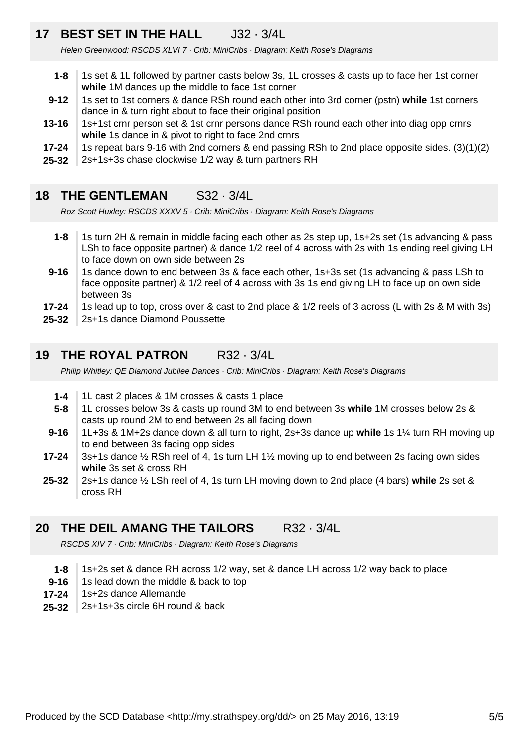### **17 BEST SET IN THE HALL** J32 · 3/4L

Helen Greenwood: RSCDS XLVI 7 · Crib: MiniCribs · Diagram: Keith Rose's Diagrams

- **1-8** 1s set & 1L followed by partner casts below 3s, 1L crosses & casts up to face her 1st corner **while** 1M dances up the middle to face 1st corner
- **9-12** 1s set to 1st corners & dance RSh round each other into 3rd corner (pstn) **while** 1st corners dance in & turn right about to face their original position
- **13-16** 1s+1st crnr person set & 1st crnr persons dance RSh round each other into diag opp crnrs **while** 1s dance in & pivot to right to face 2nd crnrs
- **17-24** 1s repeat bars 9-16 with 2nd corners & end passing RSh to 2nd place opposite sides. (3)(1)(2)
- **25-32** 2s+1s+3s chase clockwise 1/2 way & turn partners RH
- **18 THE GENTLEMAN** S32 · 3/4L

Roz Scott Huxley: RSCDS XXXV 5 · Crib: MiniCribs · Diagram: Keith Rose's Diagrams

- **1-8** 1s turn 2H & remain in middle facing each other as 2s step up, 1s+2s set (1s advancing & pass LSh to face opposite partner) & dance 1/2 reel of 4 across with 2s with 1s ending reel giving LH to face down on own side between 2s
- **9-16** 1s dance down to end between 3s & face each other, 1s+3s set (1s advancing & pass LSh to face opposite partner) & 1/2 reel of 4 across with 3s 1s end giving LH to face up on own side between 3s
- **17-24** 1s lead up to top, cross over & cast to 2nd place & 1/2 reels of 3 across (L with 2s & M with 3s)
- **25-32** 2s+1s dance Diamond Poussette

#### **19 THE ROYAL PATRON** R32 · 3/4L

Philip Whitley: QE Diamond Jubilee Dances · Crib: MiniCribs · Diagram: Keith Rose's Diagrams

- **1-4** 1L cast 2 places & 1M crosses & casts 1 place
- **5-8** 1L crosses below 3s & casts up round 3M to end between 3s **while** 1M crosses below 2s & casts up round 2M to end between 2s all facing down
- **9-16** 1L+3s & 1M+2s dance down & all turn to right, 2s+3s dance up **while** 1s 1¼ turn RH moving up to end between 3s facing opp sides
- **17-24** 3s+1s dance  $\frac{1}{2}$  RSh reel of 4, 1s turn LH 1 $\frac{1}{2}$  moving up to end between 2s facing own sides **while** 3s set & cross RH
- **25-32** 2s+1s dance ½ LSh reel of 4, 1s turn LH moving down to 2nd place (4 bars) **while** 2s set & cross RH

#### **20 THE DEIL AMANG THE TAILORS** R32 · 3/4L

RSCDS XIV 7 · Crib: MiniCribs · Diagram: Keith Rose's Diagrams

- **1-8** 1s+2s set & dance RH across 1/2 way, set & dance LH across 1/2 way back to place
- **9-16** 1s lead down the middle & back to top
- **17-24** 1s+2s dance Allemande
- **25-32** 2s+1s+3s circle 6H round & back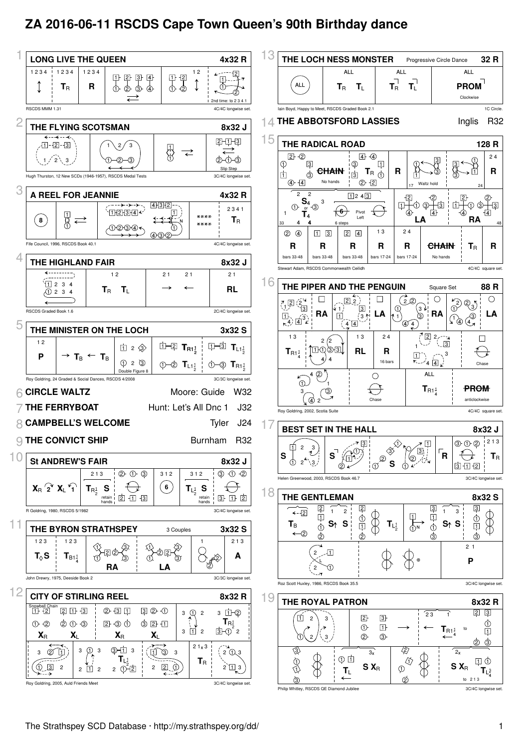## **ZA 2016-06-11 RSCDS Cape Town Queen's 90th Birthday dance**